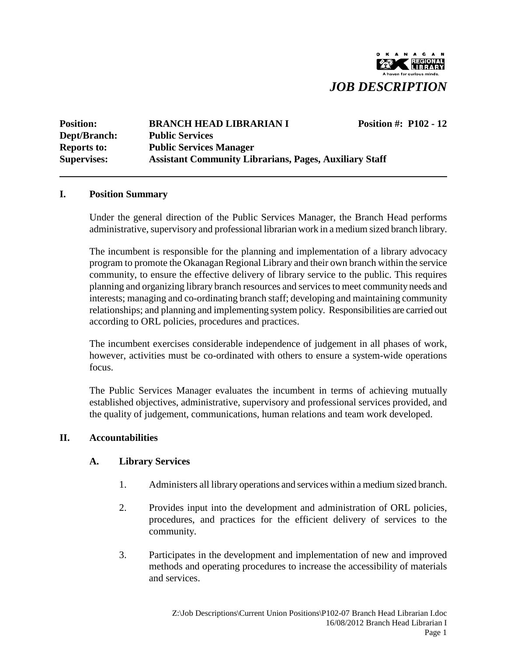

| <b>Position:</b>   | <b>BRANCH HEAD LIBRARIAN I</b>                                | <b>Position #: P102 - 12</b> |  |
|--------------------|---------------------------------------------------------------|------------------------------|--|
| Dept/Branch:       | <b>Public Services</b>                                        |                              |  |
| <b>Reports to:</b> | <b>Public Services Manager</b>                                |                              |  |
| <b>Supervises:</b> | <b>Assistant Community Librarians, Pages, Auxiliary Staff</b> |                              |  |

#### **I. Position Summary**

Under the general direction of the Public Services Manager, the Branch Head performs administrative, supervisory and professional librarian work in a medium sized branch library.

The incumbent is responsible for the planning and implementation of a library advocacy program to promote the Okanagan Regional Library and their own branch within the service community, to ensure the effective delivery of library service to the public. This requires planning and organizing library branch resources and services to meet community needs and interests; managing and co-ordinating branch staff; developing and maintaining community relationships; and planning and implementing system policy. Responsibilities are carried out according to ORL policies, procedures and practices.

The incumbent exercises considerable independence of judgement in all phases of work, however, activities must be co-ordinated with others to ensure a system-wide operations focus.

The Public Services Manager evaluates the incumbent in terms of achieving mutually established objectives, administrative, supervisory and professional services provided, and the quality of judgement, communications, human relations and team work developed.

#### **II. Accountabilities**

#### **A. Library Services**

- 1. Administers all library operations and services within a medium sized branch.
- 2. Provides input into the development and administration of ORL policies, procedures, and practices for the efficient delivery of services to the community.
- 3. Participates in the development and implementation of new and improved methods and operating procedures to increase the accessibility of materials and services.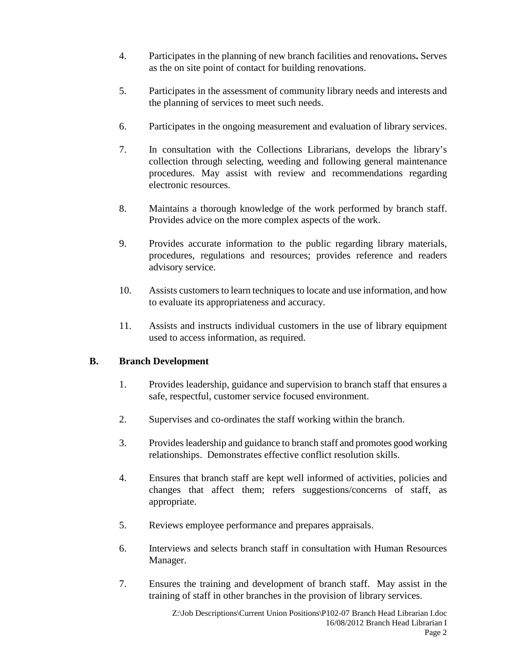- 4. Participates in the planning of new branch facilities and renovations**.** Serves as the on site point of contact for building renovations.
- 5. Participates in the assessment of community library needs and interests and the planning of services to meet such needs.
- 6. Participates in the ongoing measurement and evaluation of library services.
- 7. In consultation with the Collections Librarians, develops the library's collection through selecting, weeding and following general maintenance procedures. May assist with review and recommendations regarding electronic resources.
- 8. Maintains a thorough knowledge of the work performed by branch staff. Provides advice on the more complex aspects of the work.
- 9. Provides accurate information to the public regarding library materials, procedures, regulations and resources; provides reference and readers advisory service.
- 10. Assists customers to learn techniques to locate and use information, and how to evaluate its appropriateness and accuracy.
- 11. Assists and instructs individual customers in the use of library equipment used to access information, as required.

## **B. Branch Development**

- 1. Provides leadership, guidance and supervision to branch staff that ensures a safe, respectful, customer service focused environment.
- 2. Supervises and co-ordinates the staff working within the branch.
- 3. Provides leadership and guidance to branch staff and promotes good working relationships. Demonstrates effective conflict resolution skills.
- 4. Ensures that branch staff are kept well informed of activities, policies and changes that affect them; refers suggestions/concerns of staff, as appropriate.
- 5. Reviews employee performance and prepares appraisals.
- 6. Interviews and selects branch staff in consultation with Human Resources Manager.
- 7. Ensures the training and development of branch staff. May assist in the training of staff in other branches in the provision of library services.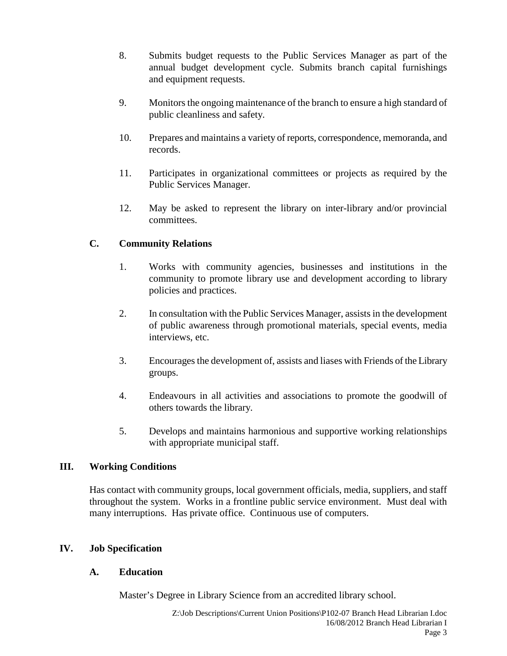- 8. Submits budget requests to the Public Services Manager as part of the annual budget development cycle. Submits branch capital furnishings and equipment requests.
- 9. Monitors the ongoing maintenance of the branch to ensure a high standard of public cleanliness and safety.
- 10. Prepares and maintains a variety of reports, correspondence, memoranda, and records.
- 11. Participates in organizational committees or projects as required by the Public Services Manager.
- 12. May be asked to represent the library on inter-library and/or provincial committees.

# **C. Community Relations**

- 1. Works with community agencies, businesses and institutions in the community to promote library use and development according to library policies and practices.
- 2. In consultation with the Public Services Manager, assists in the development of public awareness through promotional materials, special events, media interviews, etc.
- 3. Encourages the development of, assists and liases with Friends of the Library groups.
- 4. Endeavours in all activities and associations to promote the goodwill of others towards the library.
- 5. Develops and maintains harmonious and supportive working relationships with appropriate municipal staff.

## **III. Working Conditions**

Has contact with community groups, local government officials, media, suppliers, and staff throughout the system. Works in a frontline public service environment. Must deal with many interruptions. Has private office. Continuous use of computers.

## **IV. Job Specification**

## **A. Education**

Master's Degree in Library Science from an accredited library school.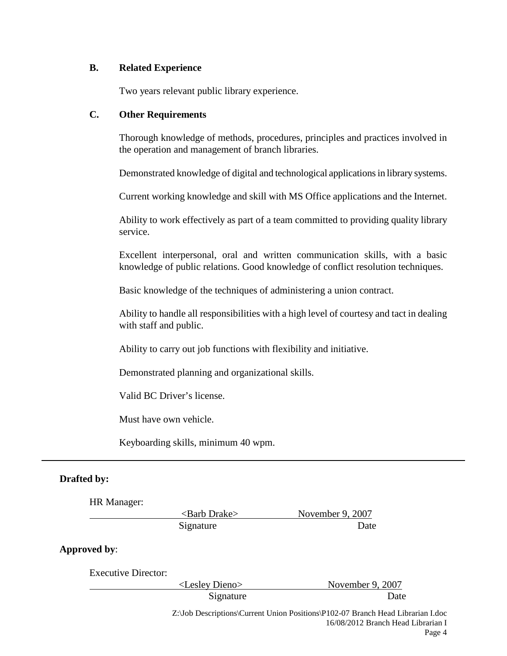#### **B. Related Experience**

Two years relevant public library experience.

#### **C. Other Requirements**

Thorough knowledge of methods, procedures, principles and practices involved in the operation and management of branch libraries.

Demonstrated knowledge of digital and technological applications in library systems.

Current working knowledge and skill with MS Office applications and the Internet.

Ability to work effectively as part of a team committed to providing quality library service.

Excellent interpersonal, oral and written communication skills, with a basic knowledge of public relations. Good knowledge of conflict resolution techniques.

Basic knowledge of the techniques of administering a union contract.

Ability to handle all responsibilities with a high level of courtesy and tact in dealing with staff and public.

Ability to carry out job functions with flexibility and initiative.

Demonstrated planning and organizational skills.

Valid BC Driver's license.

Must have own vehicle.

Keyboarding skills, minimum 40 wpm.

## **Drafted by:**

HR Manager:

<Barb Drake> November 9, 2007 Signature Date

## **Approved by**:

Executive Director: <Lesley Dieno> November 9, 2007 Signature Date

Z:\Job Descriptions\Current Union Positions\P102-07 Branch Head Librarian I.doc 16/08/2012 Branch Head Librarian I Page 4